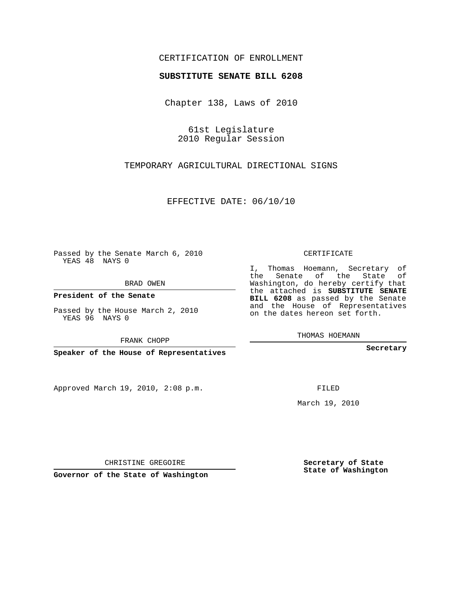#### CERTIFICATION OF ENROLLMENT

#### **SUBSTITUTE SENATE BILL 6208**

Chapter 138, Laws of 2010

61st Legislature 2010 Regular Session

### TEMPORARY AGRICULTURAL DIRECTIONAL SIGNS

EFFECTIVE DATE: 06/10/10

Passed by the Senate March 6, 2010 YEAS 48 NAYS 0

BRAD OWEN

**President of the Senate**

Passed by the House March 2, 2010 YEAS 96 NAYS 0

FRANK CHOPP

**Speaker of the House of Representatives**

Approved March 19, 2010, 2:08 p.m.

CERTIFICATE

I, Thomas Hoemann, Secretary of the Senate of the State of Washington, do hereby certify that the attached is **SUBSTITUTE SENATE BILL 6208** as passed by the Senate and the House of Representatives on the dates hereon set forth.

THOMAS HOEMANN

**Secretary**

FILED

March 19, 2010

**Secretary of State State of Washington**

CHRISTINE GREGOIRE

**Governor of the State of Washington**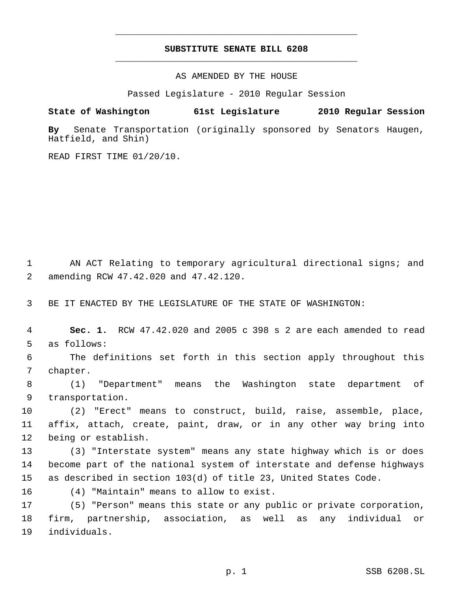## **SUBSTITUTE SENATE BILL 6208** \_\_\_\_\_\_\_\_\_\_\_\_\_\_\_\_\_\_\_\_\_\_\_\_\_\_\_\_\_\_\_\_\_\_\_\_\_\_\_\_\_\_\_\_\_

\_\_\_\_\_\_\_\_\_\_\_\_\_\_\_\_\_\_\_\_\_\_\_\_\_\_\_\_\_\_\_\_\_\_\_\_\_\_\_\_\_\_\_\_\_

AS AMENDED BY THE HOUSE

Passed Legislature - 2010 Regular Session

# **State of Washington 61st Legislature 2010 Regular Session**

**By** Senate Transportation (originally sponsored by Senators Haugen, Hatfield, and Shin)

READ FIRST TIME 01/20/10.

 AN ACT Relating to temporary agricultural directional signs; and amending RCW 47.42.020 and 47.42.120.

BE IT ENACTED BY THE LEGISLATURE OF THE STATE OF WASHINGTON:

 **Sec. 1.** RCW 47.42.020 and 2005 c 398 s 2 are each amended to read as follows:

 The definitions set forth in this section apply throughout this chapter.

 (1) "Department" means the Washington state department of transportation.

 (2) "Erect" means to construct, build, raise, assemble, place, affix, attach, create, paint, draw, or in any other way bring into being or establish.

 (3) "Interstate system" means any state highway which is or does become part of the national system of interstate and defense highways as described in section 103(d) of title 23, United States Code.

(4) "Maintain" means to allow to exist.

 (5) "Person" means this state or any public or private corporation, firm, partnership, association, as well as any individual or individuals.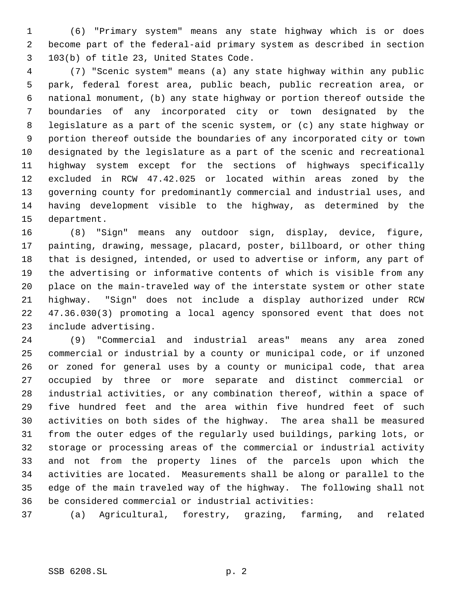(6) "Primary system" means any state highway which is or does become part of the federal-aid primary system as described in section 103(b) of title 23, United States Code.

 (7) "Scenic system" means (a) any state highway within any public park, federal forest area, public beach, public recreation area, or national monument, (b) any state highway or portion thereof outside the boundaries of any incorporated city or town designated by the legislature as a part of the scenic system, or (c) any state highway or portion thereof outside the boundaries of any incorporated city or town designated by the legislature as a part of the scenic and recreational highway system except for the sections of highways specifically excluded in RCW 47.42.025 or located within areas zoned by the governing county for predominantly commercial and industrial uses, and having development visible to the highway, as determined by the department.

 (8) "Sign" means any outdoor sign, display, device, figure, painting, drawing, message, placard, poster, billboard, or other thing that is designed, intended, or used to advertise or inform, any part of the advertising or informative contents of which is visible from any place on the main-traveled way of the interstate system or other state highway. "Sign" does not include a display authorized under RCW 47.36.030(3) promoting a local agency sponsored event that does not include advertising.

 (9) "Commercial and industrial areas" means any area zoned commercial or industrial by a county or municipal code, or if unzoned or zoned for general uses by a county or municipal code, that area occupied by three or more separate and distinct commercial or industrial activities, or any combination thereof, within a space of five hundred feet and the area within five hundred feet of such activities on both sides of the highway. The area shall be measured from the outer edges of the regularly used buildings, parking lots, or storage or processing areas of the commercial or industrial activity and not from the property lines of the parcels upon which the activities are located. Measurements shall be along or parallel to the edge of the main traveled way of the highway. The following shall not be considered commercial or industrial activities:

(a) Agricultural, forestry, grazing, farming, and related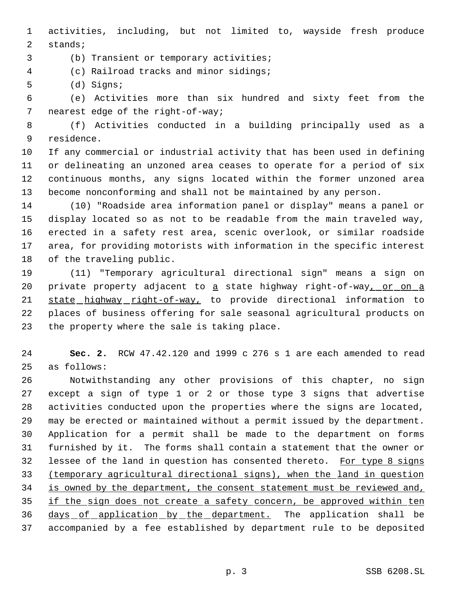activities, including, but not limited to, wayside fresh produce stands;

(b) Transient or temporary activities;

(c) Railroad tracks and minor sidings;

(d) Signs;

 (e) Activities more than six hundred and sixty feet from the nearest edge of the right-of-way;

 (f) Activities conducted in a building principally used as a residence.

 If any commercial or industrial activity that has been used in defining or delineating an unzoned area ceases to operate for a period of six continuous months, any signs located within the former unzoned area become nonconforming and shall not be maintained by any person.

 (10) "Roadside area information panel or display" means a panel or display located so as not to be readable from the main traveled way, erected in a safety rest area, scenic overlook, or similar roadside area, for providing motorists with information in the specific interest of the traveling public.

 (11) "Temporary agricultural directional sign" means a sign on 20 private property adjacent to a state highway right-of-way, or on a 21 state highway right-of-way, to provide directional information to places of business offering for sale seasonal agricultural products on the property where the sale is taking place.

 **Sec. 2.** RCW 47.42.120 and 1999 c 276 s 1 are each amended to read as follows:

 Notwithstanding any other provisions of this chapter, no sign except a sign of type 1 or 2 or those type 3 signs that advertise activities conducted upon the properties where the signs are located, may be erected or maintained without a permit issued by the department. Application for a permit shall be made to the department on forms furnished by it. The forms shall contain a statement that the owner or 32 lessee of the land in question has consented thereto. For type 8 signs (temporary agricultural directional signs), when the land in question 34 is owned by the department, the consent statement must be reviewed and, if the sign does not create a safety concern, be approved within ten 36 days of application by the department. The application shall be accompanied by a fee established by department rule to be deposited